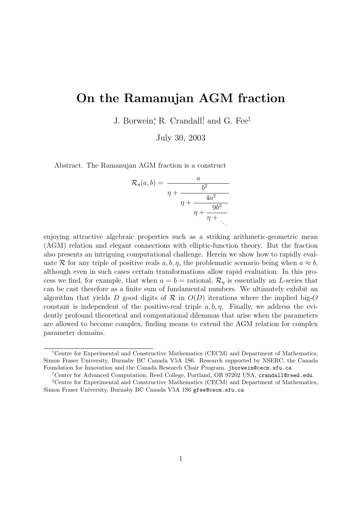# On the Ramanujan AGM fraction

J. Borwein,<sup>\*</sup> R. Crandall,<sup>†</sup> and G. Fee<sup>‡</sup>

July 30, 2003

Abstract. The Ramanujan AGM fraction is a construct

$$
\mathcal{R}_{\eta}(a,b) = \frac{a}{\eta + \frac{b^2}{\eta + \frac{4a^2}{\eta + \frac{9b^2}{\eta + \ddots}}}}.
$$

enjoying attractive algebraic properties such as a striking arithmetic-geometric mean (AGM) relation and elegant connections with elliptic-function theory. But the fraction also presents an intriguing computational challenge. Herein we show how to rapidly evaluate R for any triple of positive reals  $a, b, \eta$ , the problematic scenario being when  $a \approx b$ , although even in such cases certain transformations allow rapid evaluation. In this process we find, for example, that when  $a = b =$  rational,  $\mathcal{R}_n$  is essentially an L-series that can be cast therefore as a finite sum of fundamental numbers. We ultimately exhibit an algorithm that yields D good digits of R in  $O(D)$  iterations where the implied big-O constant is independent of the positive-real triple  $a, b, \eta$ . Finally, we address the evidently profound theoretical and computational dilemmas that arise when the parameters are allowed to become complex, finding means to extend the AGM relation for complex parameter domains.

†Center for Advanced Computation, Reed College, Portland, OR 97202 USA, crandall@reed.edu.

<sup>∗</sup>Centre for Experimental and Constructive Mathematics (CECM) and Department of Mathematics, Simon Fraser University, Burnaby BC Canada V5A 1S6. Research supported by NSERC, the Canada Foundation for Innovation and the Canada Research Chair Program. jborwein@cecm.sfu.ca

<sup>‡</sup>Centre for Experimental and Constructive Mathematics (CECM) and Department of Mathematics, Simon Fraser University, Burnaby BC Canada V5A 1S6 gfee@cecm.sfu.ca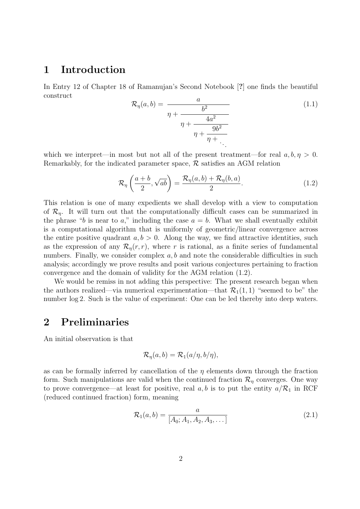#### 1 Introduction

In Entry 12 of Chapter 18 of Ramanujan's Second Notebook [?] one finds the beautiful construct

$$
\mathcal{R}_{\eta}(a,b) = \frac{a}{\eta + \frac{b^2}{\eta + \frac{4a^2}{\eta + \frac{9b^2}{\eta + \ddots}}}} \tag{1.1}
$$

which we interpret—in most but not all of the present treatment—for real  $a, b, \eta > 0$ . Remarkably, for the indicated parameter space,  $\mathcal{R}$  satisfies an AGM relation

$$
\mathcal{R}_{\eta}\left(\frac{a+b}{2},\sqrt{ab}\right) = \frac{\mathcal{R}_{\eta}(a,b) + \mathcal{R}_{\eta}(b,a)}{2}.
$$
\n(1.2)

This relation is one of many expedients we shall develop with a view to computation of  $\mathcal{R}_n$ . It will turn out that the computationally difficult cases can be summarized in the phrase "b is near to a," including the case  $a = b$ . What we shall eventually exhibit is a computational algorithm that is uniformly of geometric/linear convergence across the entire positive quadrant  $a, b > 0$ . Along the way, we find attractive identities, such as the expression of any  $\mathcal{R}_{\eta}(r,r)$ , where r is rational, as a finite series of fundamental numbers. Finally, we consider complex  $a, b$  and note the considerable difficulties in such analysis; accordingly we prove results and posit various conjectures pertaining to fraction convergence and the domain of validity for the AGM relation (1.2).

We would be remiss in not adding this perspective: The present research began when the authors realized—via numerical experimentation—that  $\mathcal{R}_1(1,1)$  "seemed to be" the number log 2. Such is the value of experiment: One can be led thereby into deep waters.

# 2 Preliminaries

An initial observation is that

$$
\mathcal{R}_{\eta}(a,b) = \mathcal{R}_{1}(a/\eta,b/\eta),
$$

as can be formally inferred by cancellation of the  $\eta$  elements down through the fraction form. Such manipulations are valid when the continued fraction  $\mathcal{R}_\eta$  converges. One way to prove convergence—at least for positive, real  $a, b$  is to put the entity  $a/R_1$  in RCF (reduced continued fraction) form, meaning

$$
\mathcal{R}_1(a,b) = \frac{a}{[A_0; A_1, A_2, A_3, \dots]}
$$
 (2.1)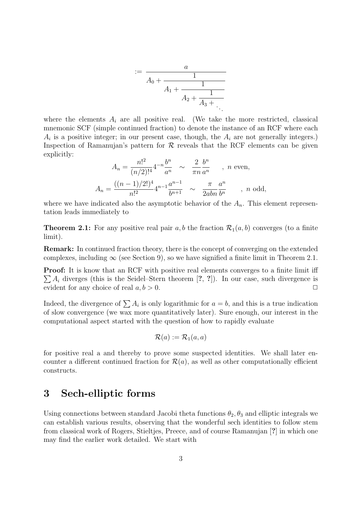$$
:= \frac{a}{A_0 + \frac{1}{A_1 + \frac{1}{A_2 + \frac{1}{A_3 + \dotsb}}}}
$$

where the elements  $A_i$  are all positive real. (We take the more restricted, classical mnemonic SCF (simple continued fraction) to denote the instance of an RCF where each  $A_i$  is a positive integer; in our present case, though, the  $A_i$  are not generally integers.) Inspection of Ramanujan's pattern for  $\mathcal R$  reveals that the RCF elements can be given explicitly:

$$
A_n = \frac{n!^2}{(n/2)!^4} 4^{-n} \frac{b^n}{a^n} \sim \frac{2}{\pi n} \frac{b^n}{a^n} \quad , \quad n \text{ even},
$$
  

$$
A_n = \frac{((n-1)/2!)^4}{n!^2} 4^{n-1} \frac{a^{n-1}}{b^{n+1}} \sim \frac{\pi}{2abn} \frac{a^n}{b^n} \quad , \quad n \text{ odd},
$$

where we have indicated also the asymptotic behavior of the  $A_n$ . This element representation leads immediately to

**Theorem 2.1:** For any positive real pair a, b the fraction  $\mathcal{R}_1(a, b)$  converges (to a finite limit).

Remark: In continued fraction theory, there is the concept of converging on the extended complexes, including  $\infty$  (see Section 9), so we have signified a finite limit in Theorem 2.1.

**Proof:** It is know that an RCF with positive real elements converges to a finite limit iff  $\sum A_i$  diverges (this is the Seidel–Stern theorem [?, ?]). In our case, such divergence is evident for any choice of real  $a, b > 0$ .

Indeed, the divergence of  $\sum A_i$  is only logarithmic for  $a = b$ , and this is a true indication of slow convergence (we wax more quantitatively later). Sure enough, our interest in the computational aspect started with the question of how to rapidly evaluate

$$
\mathcal{R}(a) := \mathcal{R}_1(a,a)
$$

for positive real a and thereby to prove some suspected identities. We shall later encounter a different continued fraction for  $\mathcal{R}(a)$ , as well as other computationally efficient constructs.

# 3 Sech-elliptic forms

Using connections between standard Jacobi theta functions  $\theta_2, \theta_3$  and elliptic integrals we can establish various results, observing that the wonderful sech identities to follow stem from classical work of Rogers, Stieltjes, Preece, and of course Ramanujan [?] in which one may find the earlier work detailed. We start with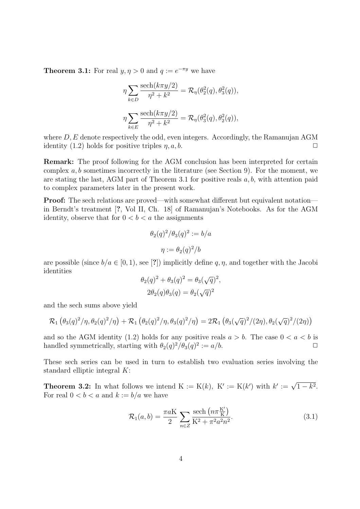**Theorem 3.1:** For real  $y, \eta > 0$  and  $q := e^{-\pi y}$  we have

$$
\eta \sum_{k \in D} \frac{\text{sech}(k\pi y/2)}{\eta^2 + k^2} = \mathcal{R}_{\eta}(\theta_2^2(q), \theta_3^2(q)),
$$
  

$$
\eta \sum_{k \in E} \frac{\text{sech}(k\pi y/2)}{\eta^2 + k^2} = \mathcal{R}_{\eta}(\theta_3^2(q), \theta_2^2(q)),
$$

where  $D, E$  denote respectively the odd, even integers. Accordingly, the Ramanujan AGM identity (1.2) holds for positive triples  $\eta$ ,  $a$ ,  $b$ .

Remark: The proof following for the AGM conclusion has been interpreted for certain complex  $a, b$  sometimes incorrectly in the literature (see Section 9). For the moment, we are stating the last, AGM part of Theorem 3.1 for positive reals  $a, b$ , with attention paid to complex parameters later in the present work.

Proof: The sech relations are proved—with somewhat different but equivalent notation in Berndt's treatment [?, Vol II, Ch. 18] of Ramanujan's Notebooks. As for the AGM identity, observe that for  $0 < b < a$  the assignments

$$
\theta_2(q)^2/\theta_3(q)^2 := b/a
$$

$$
\eta := \theta_2(q)^2/b
$$

are possible (since  $b/a \in [0,1)$ , see [?]) implicitly define q,  $\eta$ , and together with the Jacobi identities √

$$
\theta_2(q)^2 + \theta_3(q)^2 = \theta_3(\sqrt{q})^2,
$$
  

$$
2\theta_2(q)\theta_3(q) = \theta_2(\sqrt{q})^2
$$

and the sech sums above yield

$$
\mathcal{R}_1(\theta_3(q)^2/\eta, \theta_2(q)^2/\eta) + \mathcal{R}_1(\theta_2(q)^2/\eta, \theta_3(q)^2/\eta) = 2\mathcal{R}_1(\theta_3(\sqrt{q})^2/(2\eta), \theta_2(\sqrt{q})^2/(2\eta))
$$

and so the AGM identity (1.2) holds for any positive reals  $a > b$ . The case  $0 < a < b$  is handled symmetrically, starting with  $\theta_2(q)^2/\theta_3(q)^2 := a/b$ .

These sech series can be used in turn to establish two evaluation series involving the standard elliptic integral K:

**Theorem 3.2:** In what follows we intend  $K := K(k)$ ,  $K' := K(k')$  with  $k' := \sqrt{1 - k^2}$ . For real  $0 < b < a$  and  $k := b/a$  we have

$$
\mathcal{R}_1(a,b) = \frac{\pi a K}{2} \sum_{n \in \mathbb{Z}} \frac{\text{sech}\left(n \pi \frac{K'}{K}\right)}{K^2 + \pi^2 a^2 n^2}.
$$
\n(3.1)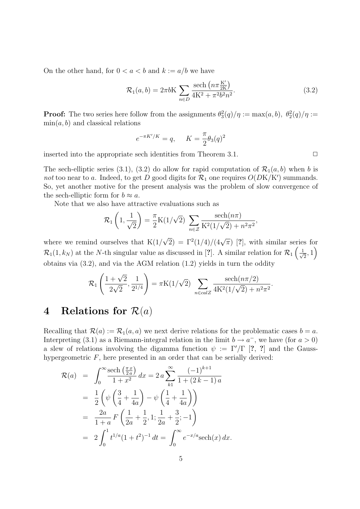On the other hand, for  $0 < a < b$  and  $k := a/b$  we have

$$
\mathcal{R}_1(a,b) = 2\pi b K \sum_{n \in D} \frac{\text{sech}\left(n\pi \frac{K'}{2K}\right)}{4K^2 + \pi^2 b^2 n^2}.
$$
\n(3.2)

**Proof:** The two series here follow from the assignments  $\theta_3^2(q)/\eta := \max(a, b), \theta_2^2(q)/\eta :=$  $\min(a, b)$  and classical relations

$$
e^{-\pi K'/K} = q, \quad K = \frac{\pi}{2} \theta_3(q)^2
$$

inserted into the appropriate sech identities from Theorem 3.1.  $\Box$ 

The sech-elliptic series (3.1), (3.2) do allow for rapid computation of  $\mathcal{R}_1(a, b)$  when b is not too near to a. Indeed, to get D good digits for  $\mathcal{R}_1$  one requires  $O(DK/K')$  summands. So, yet another motive for the present analysis was the problem of slow convergence of the sech-elliptic form for  $b \approx a$ .

Note that we also have attractive evaluations such as

$$
\mathcal{R}_1\left(1, \frac{1}{\sqrt{2}}\right) = \frac{\pi}{2} \mathcal{K}(1/\sqrt{2}) \sum_{n \in \mathcal{Z}} \frac{\text{sech}(n\pi)}{\mathcal{K}^2(1/\sqrt{2}) + n^2 \pi^2},
$$

where we remind ourselves that  $K(1)$  $\overline{2}$ ) =  $\Gamma^2(1/4)/(4\sqrt{\pi})$  [?], with similar series for  $\mathcal{R}_1(1,k_N)$  at the N-th singular value as discussed in [?]. A similar relation for  $\mathcal{R}_1\left(\frac{1}{\sqrt{N}}\right)$  $\frac{1}{2}$ , 1 obtains via (3.2), and via the AGM relation (1.2) yields in turn the oddity

$$
\mathcal{R}_1\left(\frac{1+\sqrt{2}}{2\sqrt{2}},\frac{1}{2^{1/4}}\right) = \pi K(1/\sqrt{2}) \sum_{n \in calZ} \frac{\text{sech}(n\pi/2)}{4K^2(1/\sqrt{2}) + n^2\pi^2}.
$$

# 4 Relations for  $\mathcal{R}(a)$

Recalling that  $\mathcal{R}(a) := \mathcal{R}_1(a, a)$  we next derive relations for the problematic cases  $b = a$ . Interpreting (3.1) as a Riemann-integral relation in the limit  $b \to a^-$ , we have (for  $a > 0$ ) a slew of relations involving the digamma function  $\psi := \Gamma'/\Gamma$  [?, ?] and the Gausshypergeometric  $F$ , here presented in an order that can be serially derived:

$$
\mathcal{R}(a) = \int_0^\infty \frac{\text{sech}\left(\frac{\pi x}{2a}\right)}{1+x^2} dx = 2a \sum_{k=1}^\infty \frac{(-1)^{k+1}}{1+(2k-1)a}
$$
  
=  $\frac{1}{2} \left( \psi \left(\frac{3}{4} + \frac{1}{4a}\right) - \psi \left(\frac{1}{4} + \frac{1}{4a}\right) \right)$   
=  $\frac{2a}{1+a} F \left(\frac{1}{2a} + \frac{1}{2}, 1; \frac{1}{2a} + \frac{3}{2}; -1 \right)$   
=  $2 \int_0^1 t^{1/a} (1+t^2)^{-1} dt = \int_0^\infty e^{-x/a} \text{sech}(x) dx.$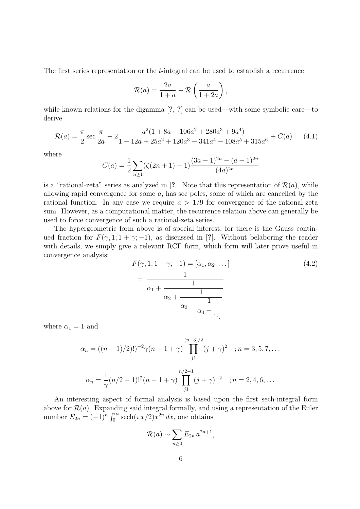The first series representation or the t-integral can be used to establish a recurrence

$$
\mathcal{R}(a) = \frac{2a}{1+a} - \mathcal{R}\left(\frac{a}{1+2a}\right),
$$

while known relations for the digamma [?, ?] can be used—with some symbolic care—to derive

$$
\mathcal{R}(a) = \frac{\pi}{2} \sec \frac{\pi}{2a} - 2 \frac{a^2 (1 + 8a - 106a^2 + 280a^3 + 9a^4)}{1 - 12a + 25a^2 + 120a^3 - 341a^4 - 108a^5 + 315a^6} + C(a)
$$
 (4.1)

where

$$
C(a) = \frac{1}{2} \sum_{n \ge 1} (\zeta(2n+1) - 1) \frac{(3a-1)^{2n} - (a-1)^{2n}}{(4a)^{2n}}
$$

is a "rational-zeta" series as analyzed in [?]. Note that this representation of  $\mathcal{R}(a)$ , while allowing rapid convergence for some a, has sec poles, some of which are cancelled by the rational function. In any case we require  $a > 1/9$  for convergence of the rational-zeta sum. However, as a computational matter, the recurrence relation above can generally be used to force convergence of such a rational-zeta series.

The hypergeometric form above is of special interest, for there is the Gauss continued fraction for  $F(\gamma, 1; 1 + \gamma; -1)$ , as discussed in [?]. Without belaboring the reader with details, we simply give a relevant RCF form, which form will later prove useful in convergence analysis:

$$
F(\gamma, 1; 1 + \gamma; -1) = [\alpha_1, \alpha_2, \dots]
$$
  
= 
$$
\frac{1}{\alpha_1 + \frac{1}{\alpha_2 + \frac{1}{\alpha_3 + \frac{1}{\alpha_4 + \dots}}}}
$$
 (4.2)

where  $\alpha_1 = 1$  and

$$
\alpha_n = ((n-1)/2)!)^{-2} \gamma (n-1+\gamma) \prod_{j1}^{(n-3)/2} (j+\gamma)^2 \quad ; n = 3, 5, 7, \dots
$$

$$
\alpha_n = \frac{1}{\gamma} (n/2-1)!^2 (n-1+\gamma) \prod_{j1}^{n/2-1} (j+\gamma)^{-2} \quad ; n = 2, 4, 6, \dots
$$

An interesting aspect of formal analysis is based upon the first sech-integral form above for  $\mathcal{R}(a)$ . Expanding said integral formally, and using a representation of the Euler number  $E_{2n} = (-1)^n$ e מוµ<br>∝י  $\int_0^\infty \operatorname{sech}(\pi x/2) x^{2n} dx$ , one obtains

$$
\mathcal{R}(a) \sim \sum_{n\geq 0} E_{2n} a^{2n+1},
$$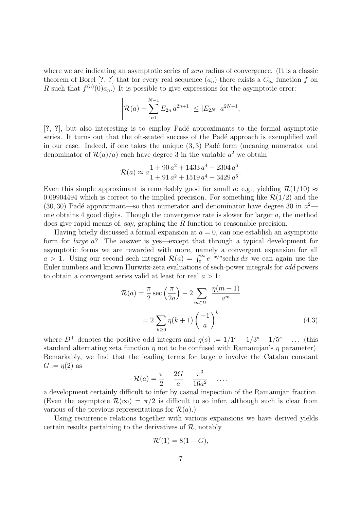where we are indicating an asymptotic series of *zero* radius of convergence. (It is a classic theorem of Borel [?, ?] that for every real sequence  $(a_n)$  there exists a  $C_{\infty}$  function f on R such that  $f^{(n)}(0)a_n$ . It is possible to give expressions for the asymptotic error:

$$
\left| \mathcal{R}(a) - \sum_{n=1}^{N-1} E_{2n} a^{2n+1} \right| \le |E_{2N}| a^{2N+1},
$$

[?, ?], but also interesting is to employ Padé approximants to the formal asymptotic series. It turns out that the oft-stated success of the Padé approach is exemplified well in our case. Indeed, if one takes the unique  $(3, 3)$  Padé form (meaning numerator and denominator of  $\mathcal{R}(a)/a$  each have degree 3 in the variable  $a^2$  we obtain

$$
\mathcal{R}(a) \approx a \frac{1 + 90 a^2 + 1433 a^4 + 2304 a^6}{1 + 91 a^2 + 1519 a^4 + 3429 a^6}.
$$

Even this simple approximant is remarkably good for small a; e.g., yielding  $\mathcal{R}(1/10) \approx$ 0.09904494 which is correct to the implied precision. For something like  $\mathcal{R}(1/2)$  and the  $(30, 30)$  Padé approximant—so that numerator and denominator have degree 30 in  $a^2$  one obtains 4 good digits. Though the convergence rate is slower for larger  $a$ , the method does give rapid means of, say, graphing the R function to reasonable precision.

Having briefly discussed a formal expansion at  $a = 0$ , can one establish an asymptotic form for large a? The answer is yes—except that through a typical development for asymptotic forms we are rewarded with more, namely a convergent expansion for all asymptotic forms we are rewarded with more, namely a convergent expansion for all  $a > 1$ . Using our second sech integral  $\mathcal{R}(a) = \int_0^\infty e^{-x/a}$ sech $x dx$  we can again use the Euler numbers and known Hurwitz-zeta evaluations of sech-power integrals for odd powers to obtain a convergent series valid at least for real  $a > 1$ :

$$
\mathcal{R}(a) = \frac{\pi}{2} \sec\left(\frac{\pi}{2a}\right) - 2 \sum_{m \in D^{+}} \frac{\eta(m+1)}{a^m}
$$

$$
= 2 \sum_{k \ge 0} \eta(k+1) \left(\frac{-1}{a}\right)^k
$$
(4.3)

where  $D^+$  denotes the positive odd integers and  $\eta(s) := 1/1^s - 1/3^s + 1/5^s - \dots$  (this standard alternating zeta function  $\eta$  not to be confused with Ramanujan's  $\eta$  parameter). Remarkably, we find that the leading terms for large a involve the Catalan constant  $G := \eta(2)$  as

$$
\mathcal{R}(a) = \frac{\pi}{2} - \frac{2G}{a} + \frac{\pi^3}{16a^2} - \dots,
$$

a development certainly difficult to infer by casual inspection of the Ramanujan fraction. (Even the asymptote  $\mathcal{R}(\infty) = \pi/2$  is difficult to so infer, although such is clear from various of the previous representations for  $\mathcal{R}(a)$ .)

Using recurrence relations together with various expansions we have derived yields certain results pertaining to the derivatives of  $\mathcal{R}$ , notably

$$
\mathcal{R}'(1) = 8(1 - G),
$$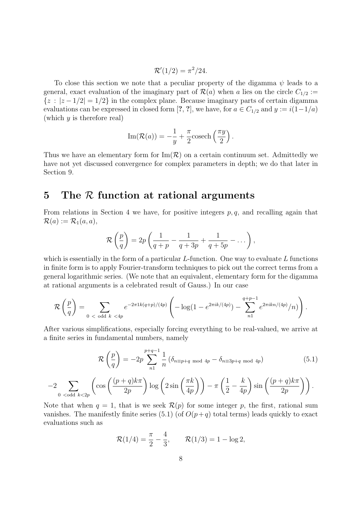$$
\mathcal{R}'(1/2) = \pi^2/24.
$$

To close this section we note that a peculiar property of the digamma  $\psi$  leads to a general, exact evaluation of the imaginary part of  $\mathcal{R}(a)$  when a lies on the circle  $C_{1/2}$  :=  $\{z : |z - 1/2| = 1/2\}$  in the complex plane. Because imaginary parts of certain digamma evaluations can be expressed in closed form [?, ?], we have, for  $a \in C_{1/2}$  and  $y := i(1-1/a)$ (which  $y$  is therefore real)

Im(
$$
\mathcal{R}(a)
$$
) =  $-\frac{1}{y} + \frac{\pi}{2}$  cosech $\left(\frac{\pi y}{2}\right)$ .

Thus we have an elementary form for  $\text{Im}(\mathcal{R})$  on a certain continuum set. Admittedly we have not yet discussed convergence for complex parameters in depth; we do that later in Section 9.

# 5 The R function at rational arguments

From relations in Section 4 we have, for positive integers  $p, q$ , and recalling again that  $\mathcal{R}(a) := \mathcal{R}_1(a,a),$ 

$$
\mathcal{R}\left(\frac{p}{q}\right) = 2p\left(\frac{1}{q+p} - \frac{1}{q+3p} + \frac{1}{q+5p} - \dots\right),\,
$$

which is essentially in the form of a particular  $L$ -function. One way to evaluate  $L$  functions in finite form is to apply Fourier-transform techniques to pick out the correct terms from a general logarithmic series. (We note that an equivalent, elementary form for the digamma at rational arguments is a celebrated result of Gauss.) In our case

$$
\mathcal{R}\left(\frac{p}{q}\right) = \sum_{0 < \text{ odd } k < 4p} e^{-2\pi 1k(q+p)/(4p)} \left( -\log(1 - e^{2\pi i k/(4p)}) - \sum_{n=1}^{q+p-1} e^{2\pi i kn/(4p)}/n) \right).
$$

After various simplifications, especially forcing everything to be real-valued, we arrive at a finite series in fundamental numbers, namely

$$
\mathcal{R}\left(\frac{p}{q}\right) = -2p \sum_{n=1}^{p+q-1} \frac{1}{n} \left(\delta_{n \equiv p+q \mod 4p} - \delta_{n \equiv 3p+q \mod 4p}\right)
$$
(5.1)

$$
-2\sum_{0 \text{
$$

Note that when  $q = 1$ , that is we seek  $\mathcal{R}(p)$  for some integer p, the first, rational sum vanishes. The manifestly finite series (5.1) (of  $O(p+q)$  total terms) leads quickly to exact evaluations such as

$$
\mathcal{R}(1/4) = \frac{\pi}{2} - \frac{4}{3}, \qquad \mathcal{R}(1/3) = 1 - \log 2,
$$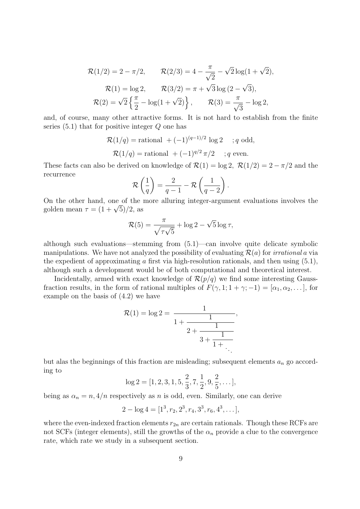$$
\mathcal{R}(1/2) = 2 - \pi/2, \qquad \mathcal{R}(2/3) = 4 - \frac{\pi}{\sqrt{2}} - \sqrt{2}\log(1 + \sqrt{2}),
$$

$$
\mathcal{R}(1) = \log 2, \qquad \mathcal{R}(3/2) = \pi + \sqrt{3}\log(2 - \sqrt{3}),
$$

$$
\mathcal{R}(2) = \sqrt{2}\left\{\frac{\pi}{2} - \log(1 + \sqrt{2})\right\}, \qquad \mathcal{R}(3) = \frac{\pi}{\sqrt{3}} - \log 2,
$$

and, of course, many other attractive forms. It is not hard to establish from the finite series  $(5.1)$  that for positive integer  $Q$  one has

$$
\mathcal{R}(1/q) = \text{rational } + (-1)^{(q-1)/2} \log 2 \quad ; q \text{ odd},
$$
  

$$
\mathcal{R}(1/q) = \text{rational } + (-1)^{q/2} \pi/2 \quad ; q \text{ even}.
$$

These facts can also be derived on knowledge of  $\mathcal{R}(1) = \log 2$ ,  $\mathcal{R}(1/2) = 2 - \pi/2$  and the recurrence  $\overline{a}$  $\mathbf{r}$  $\mathbf{r}$ 

$$
\mathcal{R}\left(\frac{1}{q}\right) = \frac{2}{q-1} - \mathcal{R}\left(\frac{1}{q-2}\right).
$$

On the other hand, one of the more alluring integer-argument evaluations involves the On the other hand, one of the<br>golden mean  $\tau = (1+\sqrt{5})/2$ , as

$$
\mathcal{R}(5) = \frac{\pi}{\sqrt{\tau\sqrt{5}}} + \log 2 - \sqrt{5}\log \tau,
$$

although such evaluations—stemming from (5.1)—can involve quite delicate symbolic manipulations. We have not analyzed the possibility of evaluating  $\mathcal{R}(a)$  for *irrational* a via the expedient of approximating  $\alpha$  first via high-resolution rationals, and then using  $(5.1)$ , although such a development would be of both computational and theoretical interest.

Incidentally, armed with exact knowledge of  $\mathcal{R}(p/q)$  we find some interesting Gaussfraction results, in the form of rational multiples of  $F(\gamma, 1; 1 + \gamma; -1) = [\alpha_1, \alpha_2, \dots]$ , for example on the basis of (4.2) we have

$$
\mathcal{R}(1) = \log 2 = \frac{1}{1 + \frac{1}{2 + \frac{1}{3 + \frac{1}{1 + \dots}}}},
$$

but alas the beginnings of this fraction are misleading; subsequent elements  $a_n$  go according to  $11<sup>1</sup>$ 

$$
\log 2 = [1, 2, 3, 1, 5, \frac{2}{3}, 7, \frac{1}{2}, 9, \frac{2}{5}, \dots],
$$

being as  $\alpha_n = n$ ,  $4/n$  respectively as n is odd, even. Similarly, one can derive

$$
2 - \log 4 = [1^3, r_2, 2^3, r_4, 3^3, r_6, 4^3, \dots],
$$

where the even-indexed fraction elements  $r_{2n}$  are certain rationals. Though these RCFs are not SCFs (integer elements), still the growths of the  $\alpha_n$  provide a clue to the convergence rate, which rate we study in a subsequent section.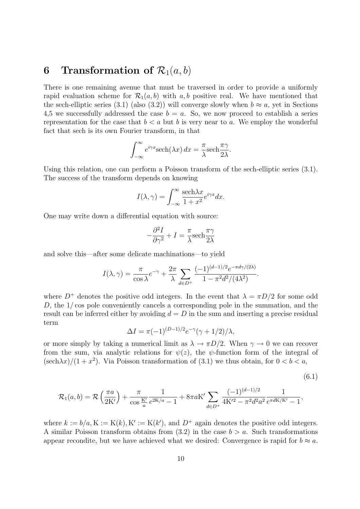# 6 Transformation of  $\mathcal{R}_1(a, b)$

There is one remaining avenue that must be traversed in order to provide a uniformly rapid evaluation scheme for  $\mathcal{R}_1(a, b)$  with a, b positive real. We have mentioned that the sech-elliptic series (3.1) (also (3.2)) will converge slowly when  $b \approx a$ , yet in Sections 4,5 we successfully addressed the case  $b = a$ . So, we now proceed to establish a series representation for the case that  $b < a$  but b is very near to a. We employ the wonderful fact that sech is its own Fourier transform, in that

$$
\int_{-\infty}^{\infty} e^{i\gamma x} \mathrm{sech}(\lambda x) \, dx = \frac{\pi}{\lambda} \mathrm{sech} \frac{\pi \gamma}{2\lambda}.
$$

Using this relation, one can perform a Poisson transform of the sech-elliptic series (3.1). The success of the transform depends on knowing

$$
I(\lambda, \gamma) = \int_{-\infty}^{\infty} \frac{\text{sech}\lambda x}{1 + x^2} e^{i\gamma x} dx.
$$

One may write down a differential equation with source:

$$
-\frac{\partial^2 I}{\partial \gamma^2} + I = \frac{\pi}{\lambda} \text{sech} \frac{\pi \gamma}{2\lambda}
$$

and solve this—after some delicate machinations—to yield

$$
I(\lambda,\gamma)=\frac{\pi}{\cos\lambda}e^{-\gamma}+\frac{2\pi}{\lambda}\sum_{d\in D^+}\frac{(-1)^{(d-1)/2}e^{-\pi d\gamma/(2\lambda)}}{1-\pi^2d^2/(4\lambda^2)}.
$$

where  $D^+$  denotes the positive odd integers. In the event that  $\lambda = \pi D/2$  for some odd D, the 1/ cos pole conveniently cancels a corresponding pole in the summation, and the result can be inferred either by avoiding  $d = D$  in the sum and inserting a precise residual term

$$
\Delta I = \pi (-1)^{(D-1)/2} e^{-\gamma} (\gamma + 1/2) / \lambda,
$$

or more simply by taking a numerical limit as  $\lambda \to \pi D/2$ . When  $\gamma \to 0$  we can recover from the sum, via analytic relations for  $\psi(z)$ , the  $\psi$ -function form of the integral of  $(\text{sech}\lambda x)/(1+x^2)$ . Via Poisson transformation of (3.1) we thus obtain, for  $0 < b < a$ ,

$$
(6.1)
$$

$$
\mathcal{R}_1(a,b) = \mathcal{R}\left(\frac{\pi a}{2K'}\right) + \frac{\pi}{\cos\frac{K'}{a}}\frac{1}{e^{2K/a} - 1} + 8\pi aK'\sum_{d \in D^+}\frac{(-1)^{(d-1)/2}}{4K'^2 - \pi^2 d^2 a^2}\frac{1}{e^{\pi dK/K'} - 1},
$$

where  $k := b/a$ ,  $K := K(k)$ ,  $K' := K(k')$ , and  $D^+$  again denotes the positive odd integers. A similar Poisson transform obtains from  $(3.2)$  in the case  $b > a$ . Such transformations appear recondite, but we have achieved what we desired: Convergence is rapid for  $b \approx a$ .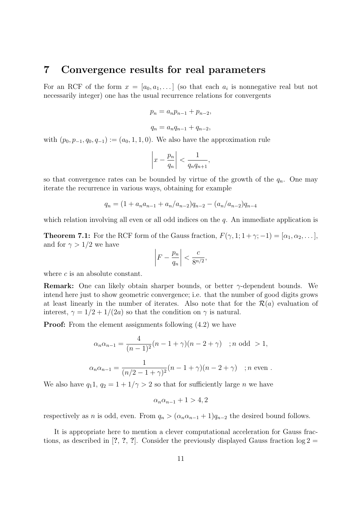#### 7 Convergence results for real parameters

For an RCF of the form  $x = [a_0, a_1, \dots]$  (so that each  $a_i$  is nonnegative real but not necessarily integer) one has the usual recurrence relations for convergents

$$
p_n = a_n p_{n-1} + p_{n-2},
$$

$$
q_n = a_n q_{n-1} + q_{n-2},
$$

with  $(p_0, p_{-1}, q_0, q_{-1}) := (a_0, 1, 1, 0)$ . We also have the approximation rule

$$
\left| x - \frac{p_n}{q_n} \right| < \frac{1}{q_n q_{n+1}},
$$

so that convergence rates can be bounded by virtue of the growth of the  $q_n$ . One may iterate the recurrence in various ways, obtaining for example

$$
q_n = (1 + a_n a_{n-1} + a_n/a_{n-2})q_{n-2} - (a_n/a_{n-2})q_{n-4}
$$

which relation involving all even or all odd indices on the q. An immediate application is

**Theorem 7.1:** For the RCF form of the Gauss fraction,  $F(\gamma, 1; 1 + \gamma; -1) = [\alpha_1, \alpha_2, \dots]$ , and for  $\gamma > 1/2$  we have  $\overline{a}$  $\overline{a}$ 

$$
\left|F - \frac{p_n}{q_n}\right| < \frac{c}{8^{n/2}},
$$

where c is an absolute constant.

**Remark:** One can likely obtain sharper bounds, or better  $\gamma$ -dependent bounds. We intend here just to show geometric convergence; i.e. that the number of good digits grows at least linearly in the number of iterates. Also note that for the  $\mathcal{R}(a)$  evaluation of interest,  $\gamma = 1/2 + 1/(2a)$  so that the condition on  $\gamma$  is natural.

**Proof:** From the element assignments following  $(4.2)$  we have

$$
\alpha_n \alpha_{n-1} = \frac{4}{(n-1)^2} (n-1+\gamma)(n-2+\gamma) \text{ ; } n \text{ odd } > 1,
$$
  

$$
\alpha_n \alpha_{n-1} = \frac{1}{(n/2-1+\gamma)^2} (n-1+\gamma)(n-2+\gamma) \text{ ; } n \text{ even }.
$$

We also have  $q_11, q_2 = 1 + 1/\gamma > 2$  so that for sufficiently large *n* we have

$$
\alpha_n \alpha_{n-1} + 1 > 4, 2
$$

respectively as n is odd, even. From  $q_n > (\alpha_n \alpha_{n-1} + 1)q_{n-2}$  the desired bound follows.

It is appropriate here to mention a clever computational acceleration for Gauss fractions, as described in [?, ?, ?]. Consider the previously displayed Gauss fraction  $\log 2 =$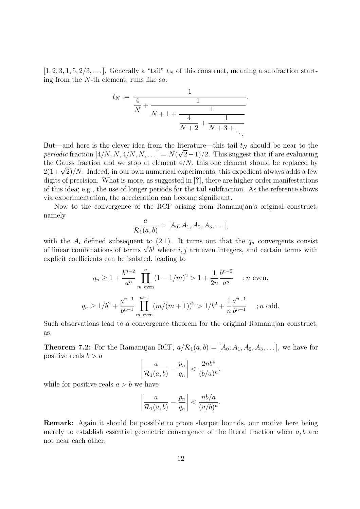$[1, 2, 3, 1, 5, 2/3, \ldots]$ . Generally a "tail"  $t_N$  of this construct, meaning a subfraction starting from the N-th element, runs like so:

$$
t_N := \frac{1}{\frac{4}{N} + \frac{1}{N+1 + \frac{1}{\frac{4}{N+2} + \frac{1}{N+3 + \dots}}}}.
$$

But—and here is the clever idea from the literature—this tail  $t_N$  should be near to the periodic fraction  $[4/N, N, 4/N, N, \ldots] = N(\sqrt{2}-1)/2$ . This suggest that if are evaluating the Gauss fraction and we stop at element  $4/N$ , this one element should be replaced by the Gauss fraction and we stop at element  $4/N$ , this one element should be replaced by  $2(1+\sqrt{2})/N$ . Indeed, in our own numerical experiments, this expedient always adds a few digits of precision. What is more, as suggested in [?], there are higher-order manifestations of this idea; e.g., the use of longer periods for the tail subfraction. As the reference shows via experimentation, the acceleration can become significant.

Now to the convergence of the RCF arising from Ramanujan's original construct, namely

$$
\frac{a}{\mathcal{R}_1(a,b)} = [A_0; A_1, A_2, A_3, \dots],
$$

with the  $A_i$  defined subsequent to (2.1). It turns out that the  $q_n$  convergents consist of linear combinations of terms  $a^i b^j$  where i, j are even integers, and certain terms with explicit coefficients can be isolated, leading to

$$
q_n \ge 1 + \frac{b^{n-2}}{a^n} \prod_{m \text{ even}}^n (1 - 1/m)^2 > 1 + \frac{1}{2n} \frac{b^{n-2}}{a^n} \quad ; n \text{ even},
$$
  

$$
q_n \ge 1/b^2 + \frac{a^{n-1}}{b^{n+1}} \prod_{m \text{ even}}^{n-1} (m/(m+1))^2 > 1/b^2 + \frac{1}{n} \frac{a^{n-1}}{b^{n+1}} \quad ; n \text{ odd}.
$$

Such observations lead to a convergence theorem for the original Ramanujan construct, as

**Theorem 7.2:** For the Ramanujan RCF,  $a/R_1(a, b) = [A_0; A_1, A_2, A_3, \dots]$ , we have for positive reals  $b > a$  $\overline{a}$ ¯

$$
\left|\frac{a}{\mathcal{R}_1(a,b)} - \frac{p_n}{q_n}\right| < \frac{2nb^4}{(b/a)^n},
$$

while for positive reals  $a > b$  we have

$$
\left|\frac{a}{\mathcal{R}_1(a,b)} - \frac{p_n}{q_n}\right| < \frac{nb/a}{(a/b)^n}.
$$

Remark: Again it should be possible to prove sharper bounds, our motive here being merely to establish essential geometric convergence of the literal fraction when  $a, b$  are not near each other.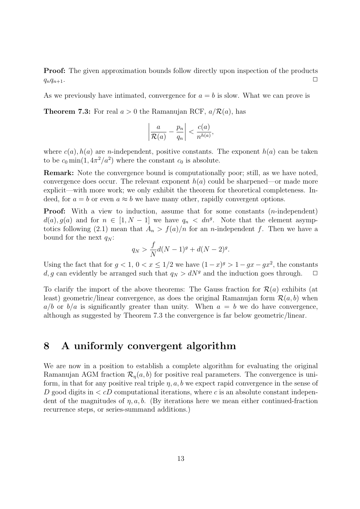**Proof:** The given approximation bounds follow directly upon inspection of the products  $q_nq_{n+1}$ .

As we previously have intimated, convergence for  $a = b$  is slow. What we can prove is

**Theorem 7.3:** For real  $a > 0$  the Ramanujan RCF,  $a/R(a)$ , has

$$
\left|\frac{a}{\mathcal{R}(a)} - \frac{p_n}{q_n}\right| < \frac{c(a)}{n^{h(a)}},
$$

where  $c(a)$ ,  $h(a)$  are *n*-independent, positive constants. The exponent  $h(a)$  can be taken to be  $c_0 \min(1, 4\pi^2/a^2)$  where the constant  $c_0$  is absolute.

Remark: Note the convergence bound is computationally poor; still, as we have noted, convergence does occur. The relevant exponent  $h(a)$  could be sharpened—or made more explicit—with more work; we only exhibit the theorem for theoretical completeness. Indeed, for  $a = b$  or even  $a \approx b$  we have many other, rapidly convergent options.

**Proof:** With a view to induction, assume that for some constants  $(n$ -independent)  $d(a), g(a)$  and for  $n \in [1, N-1]$  we have  $q_n < dn<sup>g</sup>$ . Note that the element asymptotics following (2.1) mean that  $A_n > f(a)/n$  for an *n*-independent f. Then we have a bound for the next  $q_N$ :

$$
q_N > \frac{f}{N}d(N-1)^g + d(N-2)^g.
$$

Using the fact that for  $g < 1$ ,  $0 < x \leq 1/2$  we have  $(1-x)^g > 1 - gx - gx^2$ , the constants d, g can evidently be arranged such that  $q_N > dN<sup>g</sup>$  and the induction goes through.  $\Box$ 

To clarify the import of the above theorems: The Gauss fraction for  $\mathcal{R}(a)$  exhibits (at least) geometric/linear convergence, as does the original Ramanujan form  $\mathcal{R}(a, b)$  when  $a/b$  or  $b/a$  is significantly greater than unity. When  $a = b$  we do have convergence, although as suggested by Theorem 7.3 the convergence is far below geometric/linear.

# 8 A uniformly convergent algorithm

We are now in a position to establish a complete algorithm for evaluating the original Ramanujan AGM fraction  $\mathcal{R}_{\eta}(a, b)$  for positive real parameters. The convergence is uniform, in that for any positive real triple  $\eta$ ,  $a, b$  we expect rapid convergence in the sense of D good digits in  $\langle cD \rangle$  computational iterations, where c is an absolute constant independent of the magnitudes of  $\eta$ ,  $a, b$ . (By iterations here we mean either continued-fraction recurrence steps, or series-summand additions.)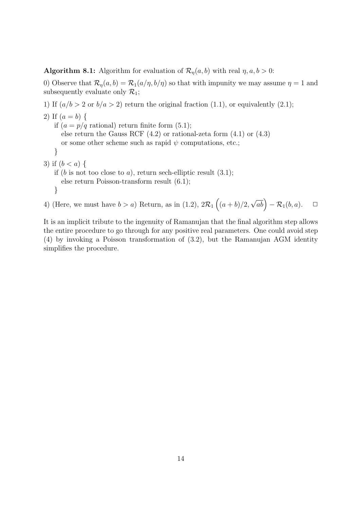**Algorithm 8.1:** Algorithm for evaluation of  $\mathcal{R}_n(a, b)$  with real  $\eta, a, b > 0$ :

0) Observe that  $\mathcal{R}_{\eta}(a, b) = \mathcal{R}_{1}(a/\eta, b/\eta)$  so that with impunity we may assume  $\eta = 1$  and subsequently evaluate only  $\mathcal{R}_1$ ;

1) If  $(a/b > 2 \text{ or } b/a > 2)$  return the original fraction (1.1), or equivalently (2.1);

```
2) If (a = b) {
   if (a = p/q \text{ rational}) return finite form (5.1);
      else return the Gauss RCF (4.2) or rational-zeta form (4.1) or (4.3)
      or some other scheme such as rapid \psi computations, etc.;
   }
3) if (b < a) {
   if (b is not too close to a), return sech-elliptic result (3.1);
      else return Poisson-transform result (6.1);
   }
```
4) (Here, we must have  $b > a$ ) Return, as in (1.2),  $2\mathcal{R}_1$  $\overline{a}$  $(a + b)/2,$  $\sqrt{ab}$  –  $\mathcal{R}_1(b,a)$ .  $\Box$ 

It is an implicit tribute to the ingenuity of Ramanujan that the final algorithm step allows the entire procedure to go through for any positive real parameters. One could avoid step (4) by invoking a Poisson transformation of (3.2), but the Ramanujan AGM identity simplifies the procedure.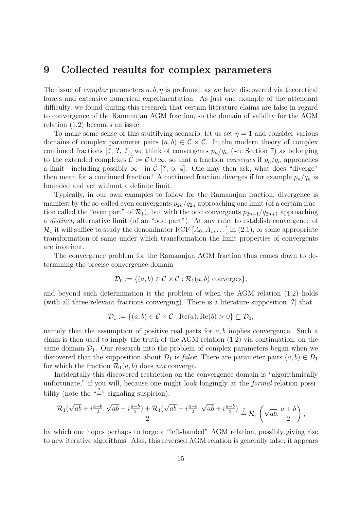# 9 Collected results for complex parameters

The issue of *complex* parameters  $a, b, \eta$  is profound, as we have discovered via theoretical forays and extensive numerical experimentation. As just one example of the attendant difficulty, we found during this research that certain literature claims are false in regard to convergence of the Ramanujan AGM fraction, so the domain of validity for the AGM relation (1.2) becomes an issue.

To make some sense of this stultifying scenario, let us set  $\eta = 1$  and consider various domains of complex parameter pairs  $(a, b) \in \mathcal{C} \times \mathcal{C}$ . In the modern theory of complex continued fractions [?, ?, ?], we think of convergents  $p_n/q_n$  (see Section 7) as belonging to the extended complexes  $\mathcal{C} := \mathcal{C} \cup \infty$ , so that a fraction *converges* if  $p_n/q_n$  approaches a limit—including possibly  $\infty$ —in  $\mathcal{C}$  [?, p. 4]. One may then ask, what does "diverge" then mean for a continued fraction? A continued fraction diverges if for example  $p_n/q_n$  is bounded and yet without a definite limit.

Typically, in our own examples to follow for the Ramanujan fraction, divergence is manifest by the so-called even convergents  $p_{2n}/q_{2n}$  approaching one limit (of a certain fraction called the "even part" of  $\mathcal{R}_1$ ), but with the odd convergents  $p_{2n+1}/q_{2n+1}$  approaching a distinct, alternative limit (of an "odd part"). At any rate, to establish convergence of  $\mathcal{R}_1$  it will suffice to study the denominator RCF  $[A_0, A_1, \ldots]$  in (2.1), or some appropriate transformation of same under which transformation the limit properties of convergents are invariant.

The convergence problem for the Ramanujan AGM fraction thus comes down to determining the precise convergence domain

$$
\mathcal{D}_0 := \{ (a, b) \in \mathcal{C} \times \mathcal{C} : \mathcal{R}_1(a, b) \text{ converges} \},
$$

and beyond such determination is the problem of when the AGM relation (1.2) holds (with all three relevant fractions converging). There is a literature supposition [?] that

$$
\mathcal{D}_1 := \{(a, b) \in \mathcal{C} \times \mathcal{C} : \text{Re}(a), \text{Re}(b) > 0\} \subseteq \mathcal{D}_0,
$$

namely that the assumption of positive real parts for  $a, b$  implies convergence. Such a claim is then used to imply the truth of the AGM relation (1.2) via continuation, on the same domain  $\mathcal{D}_1$ . Our research into the problem of complex parameters began when we discovered that the supposition about  $\mathcal{D}_1$  is *false*: There are parameter pairs  $(a, b) \in \mathcal{D}_1$ for which the fraction  $\mathcal{R}_1(a, b)$  does not converge.

Incidentally this discovered restriction on the convergence domain is "algorithmically unfortunate," if you will, because one might look longingly at the *formal* relation possibility (note the " $\stackrel{?}{=}$ " signaling suspicion):

$$
\frac{\mathcal{R}_1(\sqrt{ab}+i\frac{a-b}{2},\sqrt{ab}-i\frac{a-b}{2})+\mathcal{R}_1(\sqrt{ab}-i\frac{a-b}{2},\sqrt{ab}+i\frac{a-b}{2})}{2}\stackrel{?}{=}\mathcal{R}_1\left(\sqrt{ab},\frac{a+b}{2}\right),
$$

by which one hopes perhaps to forge a "left-handed" AGM relation, possibly giving rise to new iterative algorithms. Alas, this reversed AGM relation is generally false; it appears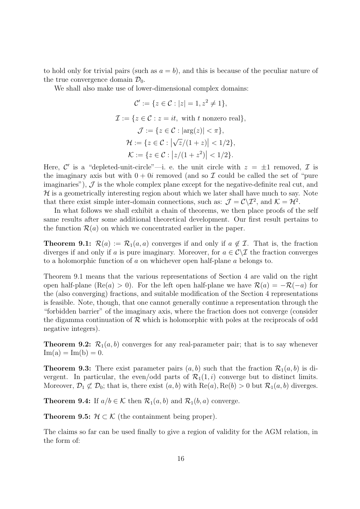to hold only for trivial pairs (such as  $a = b$ ), and this is because of the peculiar nature of the true convergence domain  $\mathcal{D}_0$ .

We shall also make use of lower-dimensional complex domains:

$$
\mathcal{C}' := \{ z \in \mathcal{C} : |z| = 1, z^2 \neq 1 \},
$$
  
\n
$$
\mathcal{I} := \{ z \in \mathcal{C} : z = it, \text{ with } t \text{ nonzero real} \},
$$
  
\n
$$
\mathcal{J} := \{ z \in \mathcal{C} : |\arg(z)| < \pi \},
$$
  
\n
$$
\mathcal{H} := \{ z \in \mathcal{C} : |\sqrt{z}/(1+z)| < 1/2 \},
$$
  
\n
$$
\mathcal{K} := \{ z \in \mathcal{C} : |z/(1+z^2)| < 1/2 \}.
$$

Here, C' is a "depleted-unit-circle"—i. e. the unit circle with  $z = \pm 1$  removed, T is the imaginary axis but with  $0 + 0i$  removed (and so  $\mathcal I$  could be called the set of "pure") imaginaries"),  $\mathcal{J}$  is the whole complex plane except for the negative-definite real cut, and  $H$  is a geometrically interesting region about which we later shall have much to say. Note that there exist simple inter-domain connections, such as:  $\mathcal{J} = \mathcal{C} \backslash \mathcal{I}^2$ , and  $\mathcal{K} = \mathcal{H}^2$ .

In what follows we shall exhibit a chain of theorems, we then place proofs of the self same results after some additional theoretical development. Our first result pertains to the function  $\mathcal{R}(a)$  on which we concentrated earlier in the paper.

**Theorem 9.1:**  $\mathcal{R}(a) := \mathcal{R}_1(a, a)$  converges if and only if  $a \notin \mathcal{I}$ . That is, the fraction diverges if and only if a is pure imaginary. Moreover, for  $a \in \mathcal{C} \setminus \mathcal{I}$  the fraction converges to a holomorphic function of a on whichever open half-plane a belongs to.

Theorem 9.1 means that the various representations of Section 4 are valid on the right open half-plane (Re(a) > 0). For the left open half-plane we have  $\mathcal{R}(a) = -\mathcal{R}(-a)$  for the (also converging) fractions, and suitable modification of the Section 4 representations is feasible. Note, though, that one cannot generally continue a representation through the "forbidden barrier" of the imaginary axis, where the fraction does not converge (consider the digamma continuation of  $R$  which is holomorphic with poles at the reciprocals of odd negative integers).

**Theorem 9.2:**  $\mathcal{R}_1(a, b)$  converges for any real-parameter pair; that is to say whenever  $Im(a) = Im(b) = 0.$ 

**Theorem 9.3:** There exist parameter pairs  $(a, b)$  such that the fraction  $\mathcal{R}_1(a, b)$  is divergent. In particular, the even/odd parts of  $\mathcal{R}_1(1,i)$  converge but to distinct limits. Moreover,  $\mathcal{D}_1 \not\subset \mathcal{D}_0$ ; that is, there exist  $(a, b)$  with  $\text{Re}(a)$ ,  $\text{Re}(b) > 0$  but  $\mathcal{R}_1(a, b)$  diverges.

**Theorem 9.4:** If  $a/b \in \mathcal{K}$  then  $\mathcal{R}_1(a, b)$  and  $\mathcal{R}_1(b, a)$  converge.

**Theorem 9.5:**  $\mathcal{H} \subset \mathcal{K}$  (the containment being proper).

The claims so far can be used finally to give a region of validity for the AGM relation, in the form of: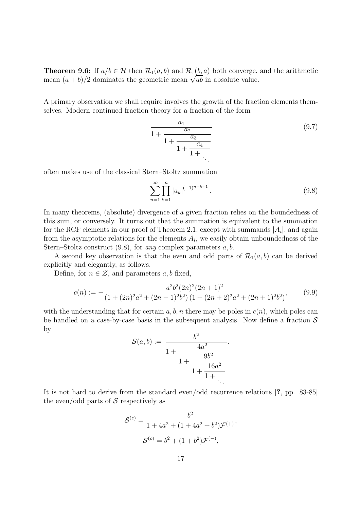**Theorem 9.6:** If  $a/b \in \mathcal{H}$  then  $\mathcal{R}_1(a, b)$  and  $\mathcal{R}_1(b, a)$  both converge, and the arithmetic **Theorem 9.6:** If  $a/b \in \mathcal{H}$  then  $\mathcal{K}_1(a, b)$  and  $\mathcal{K}_1(b, a)$  both converge,<br>mean  $(a + b)/2$  dominates the geometric mean  $\sqrt{ab}$  in absolute value.

A primary observation we shall require involves the growth of the fraction elements themselves. Modern continued fraction theory for a fraction of the form

$$
\frac{a_1}{1 + \frac{a_2}{1 + \frac{a_3}{1 + \frac{a_4}{1 + \dots}}}}
$$
\n(9.7)

often makes use of the classical Stern–Stoltz summation

$$
\sum_{n=1}^{\infty} \prod_{k=1}^{n} |a_k|^{(-1)^{n-k+1}}.
$$
\n(9.8)

In many theorems, (absolute) divergence of a given fraction relies on the boundedness of this sum, or conversely. It turns out that the summation is equivalent to the summation for the RCF elements in our proof of Theorem 2.1, except with summands  $|A_i|$ , and again from the asymptotic relations for the elements  $A_i$ , we easily obtain unboundedness of the Stern–Stoltz construct  $(9.8)$ , for any complex parameters  $a, b$ .

A second key observation is that the even and odd parts of  $\mathcal{R}_1(a, b)$  can be derived explicitly and elegantly, as follows.

Define, for  $n \in \mathcal{Z}$ , and parameters a, b fixed,

$$
c(n) := -\frac{a^2b^2(2n)^2(2n+1)^2}{(1+(2n)^2a^2+(2n-1)^2b^2)\left(1+(2n+2)^2a^2+(2n+1)^2b^2\right)},
$$
(9.9)

with the understanding that for certain a, b, n there may be poles in  $c(n)$ , which poles can be handled on a case-by-case basis in the subsequent analysis. Now define a fraction  $\mathcal S$ by

$$
\mathcal{S}(a,b) := \frac{b^2}{1 + \frac{4a^2}{1 + \frac{9b^2}{1 + \frac{16a^2}{1 + \dots}}}}.
$$

It is not hard to derive from the standard even/odd recurrence relations [?, pp. 83-85] the even/odd parts of  $S$  respectively as

$$
\mathcal{S}^{(e)} = \frac{b^2}{1 + 4a^2 + (1 + 4a^2 + b^2)\mathcal{F}^{(+)}},
$$

$$
\mathcal{S}^{(o)} = b^2 + (1 + b^2)\mathcal{F}^{(-)},
$$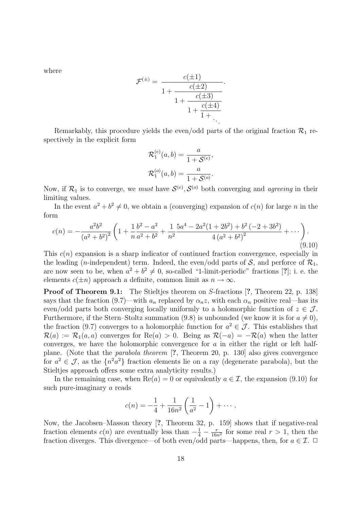where

$$
\mathcal{F}^{(\pm)} = \frac{c(\pm 1)}{1 + \frac{c(\pm 2)}{1 + \frac{c(\pm 3)}{1 + \frac{c(\pm 4)}{1 + \dots}}}}.
$$

Remarkably, this procedure yields the even/odd parts of the original fraction  $\mathcal{R}_1$  respectively in the explicit form

$$
\mathcal{R}_1^{(e)}(a,b) = \frac{a}{1 + \mathcal{S}^{(e)}},
$$
  

$$
\mathcal{R}_1^{(o)}(a,b) = \frac{a}{1 + \mathcal{S}^{(o)}}.
$$

Now, if  $\mathcal{R}_1$  is to converge, we *must* have  $\mathcal{S}^{(e)}$ ,  $\mathcal{S}^{(o)}$  both converging and *agreeing* in their limiting values.

In the event  $a^2 + b^2 \neq 0$ , we obtain a (converging) expansion of  $c(n)$  for large n in the form

$$
c(n) = -\frac{a^2b^2}{(a^2+b^2)^2} \left(1 + \frac{1}{n}\frac{b^2-a^2}{a^2+b^2} + \frac{1}{n^2}\frac{5a^4 - 2a^2(1+2b^2) + b^2(-2+3b^2)}{4(a^2+b^2)^2} + \cdots \right).
$$
\n(9.10)

This  $c(n)$  expansion is a sharp indicator of continued fraction convergence, especially in the leading (*n*-independent) term. Indeed, the even/odd parts of  $S$ , and perforce of  $\mathcal{R}_1$ , are now seen to be, when  $a^2 + b^2 \neq 0$ , so-called "1-limit-periodic" fractions [?]; i. e. the elements  $c(\pm n)$  approach a definite, common limit as  $n \to \infty$ .

Proof of Theorem 9.1: The Stieltjes theorem on S-fractions [?, Theorem 22, p. 138] says that the fraction (9.7)—with  $a_n$  replaced by  $\alpha_n z$ , with each  $\alpha_n$  positive real—has its even/odd parts both converging locally uniformly to a holomorphic function of  $z \in \mathcal{J}$ . Furthermore, if the Stern–Stoltz summation (9.8) is unbounded (we know it is for  $a \neq 0$ ), the fraction (9.7) converges to a holomorphic function for  $a^2 \in \mathcal{J}$ . This establishes that  $\mathcal{R}(a) := \mathcal{R}_1(a, a)$  converges for  $\text{Re}(a) > 0$ . Being as  $\mathcal{R}(-a) = -\mathcal{R}(a)$  when the latter converges, we have the holomorphic convergence for  $a$  in either the right or left halfplane. (Note that the parabola theorem [?, Theorem 20, p. 130] also gives convergence for  $a^2 \in \mathcal{J}$ , as the  $\{n^2a^2\}$  fraction elements lie on a ray (degenerate parabola), but the Stieltjes approach offers some extra analyticity results.)

In the remaining case, when  $\text{Re}(a) = 0$  or equivalently  $a \in \mathcal{I}$ , the expansion (9.10) for such pure-imaginary a reads

$$
c(n) = -\frac{1}{4} + \frac{1}{16n^2} \left( \frac{1}{a^2} - 1 \right) + \cdots.
$$

Now, the Jacobsen–Masson theory [?, Theorem 32, p. 159] shows that if negative-real fraction elements  $c(n)$  are eventually less than  $-\frac{1}{4} - \frac{r}{16n}$  $\frac{r}{16n^2}$  for some real  $r > 1$ , then the fraction diverges. This divergence—of both even/odd parts—happens, then, for  $a \in \mathcal{I}$ .  $\Box$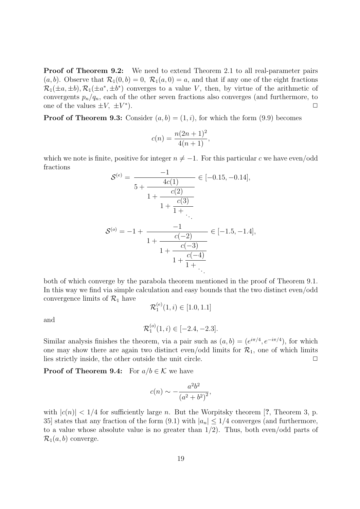**Proof of Theorem 9.2:** We need to extend Theorem 2.1 to all real-parameter pairs  $(a, b)$ . Observe that  $\mathcal{R}_1(0, b) = 0$ ,  $\mathcal{R}_1(a, 0) = a$ , and that if any one of the eight fractions  $\mathcal{R}_1(\pm a, \pm b), \mathcal{R}_1(\pm a^*, \pm b^*)$  converges to a value V, then, by virtue of the arithmetic of convergents  $p_n/q_n$ , each of the other seven fractions also converges (and furthermore, to one of the values  $\pm V$ ,  $\pm V^*$ ).  $\Box$ 

**Proof of Theorem 9.3:** Consider  $(a, b) = (1, i)$ , for which the form  $(9.9)$  becomes

$$
c(n) = \frac{n(2n+1)^2}{4(n+1)},
$$

which we note is finite, positive for integer  $n \neq -1$ . For this particular c we have even/odd fractions

$$
\mathcal{S}^{(e)} = \frac{-1}{5 + \frac{4c(1)}{1 + \frac{c(2)}{1 + \frac{c(3)}{1 + \dots}}}} \in [-0.15, -0.14],
$$
  

$$
\mathcal{S}^{(e)} = -1 + \frac{-1}{1 + \frac{c(-2)}{1 + \frac{c(-3)}{1 + \frac{c(-4)}{1 + \dots}}}}
$$

both of which converge by the parabola theorem mentioned in the proof of Theorem 9.1. In this way we find via simple calculation and easy bounds that the two distinct even/odd convergence limits of  $\mathcal{R}_1$  have  $\mathcal{R}_1^{(e)}$ 

and

$$
\mathcal{R}_1^{(o)}(1,i) \in [-2.4, -2.3].
$$

 $_1^{(e)}(1,i) \in [1.0,1.1]$ 

Similar analysis finishes the theorem, via a pair such as  $(a, b) = (e^{i\pi/4}, e^{-i\pi/4})$ , for which one may show there are again two distinct even/odd limits for  $\mathcal{R}_1$ , one of which limits lies strictly inside, the other outside the unit circle.  $\Box$ 

**Proof of Theorem 9.4:** For  $a/b \in \mathcal{K}$  we have

$$
c(n) \sim -\frac{a^2b^2}{(a^2+b^2)^2},
$$

with  $|c(n)| < 1/4$  for sufficiently large n. But the Worpitsky theorem [?, Theorem 3, p. 35] states that any fraction of the form  $(9.1)$  with  $|a_n| \leq 1/4$  converges (and furthermore, to a value whose absolute value is no greater than 1/2). Thus, both even/odd parts of  $\mathcal{R}_1(a, b)$  converge.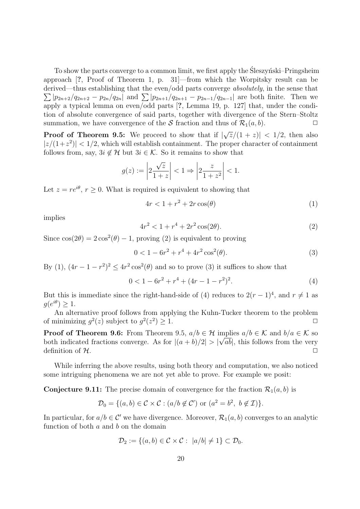To show the parts converge to a common limit, we first apply the Sleszynski–Pringsheim approach [?, Proof of Theorem 1, p. 31]—from which the Worpitsky result can be derived—thus establishing that the even/odd parts converge *absolutely*, in the sense that  $\sum |p_{2n+2}/q_{2n+2} - p_{2n}/q_{2n}|$  and  $\sum |p_{2n+1}/q_{2n+1} - p_{2n-1}/q_{2n-1}|$  are both finite. Then we apply a typical lemma on even/odd parts [?, Lemma 19, p. 127] that, under the condition of absolute convergence of said parts, together with divergence of the Stern–Stoltz summation, we have convergence of the S fraction and thus of  $\mathcal{R}_1(a, b)$ .

**Proof of Theorem 9.5:** We proceed to show that if | √  $\overline{z}/(1+z)| < 1/2$ , then also  $|z/(1+z^2)| < 1/2$ , which will establish containment. The proper character of containment follows from, say,  $3i \notin \mathcal{H}$  but  $3i \in \mathcal{K}$ . So it remains to show that

$$
g(z) := \left| 2\frac{\sqrt{z}}{1+z} \right| < 1 \Rightarrow \left| 2\frac{z}{1+z^2} \right| < 1.
$$

Let  $z = re^{i\theta}$ ,  $r > 0$ . What is required is equivalent to showing that

$$
4r < 1 + r^2 + 2r\cos(\theta) \tag{1}
$$

implies

$$
4r^2 < 1 + r^4 + 2r^2 \cos(2\theta). \tag{2}
$$

Since  $\cos(2\theta) = 2\cos^2(\theta) - 1$ , proving (2) is equivalent to proving

$$
0 < 1 - 6r^2 + r^4 + 4r^2 \cos^2(\theta). \tag{3}
$$

By (1),  $(4r - 1 - r^2)^2 \le 4r^2 \cos^2(\theta)$  and so to prove (3) it suffices to show that

$$
0 < 1 - 6r^2 + r^4 + (4r - 1 - r^2)^2. \tag{4}
$$

But this is immediate since the right-hand-side of (4) reduces to  $2(r-1)^4$ , and  $r \neq 1$  as  $g(e^{i\theta}) \geq 1.$ 

An alternative proof follows from applying the Kuhn-Tucker theorem to the problem of minimizing  $g^2(z)$  subject to  $g^2(z^2) \geq 1$ .

**Proof of Theorem 9.6:** From Theorem 9.5,  $a/b \in \mathcal{H}$  implies  $a/b \in \mathcal{K}$  and  $b/a \in \mathcal{K}$  so both indicated fractions converge. As for  $|(a + b)/2| > |\sqrt{ab}|$ , this follows from the very definition of  $\mathcal{H}$ .

While inferring the above results, using both theory and computation, we also noticed some intriguing phenomena we are not yet able to prove. For example we posit:

**Conjecture 9.11:** The precise domain of convergence for the fraction  $\mathcal{R}_1(a, b)$  is

$$
\mathcal{D}_0 = \{ (a, b) \in \mathcal{C} \times \mathcal{C} : (a/b \notin \mathcal{C}') \text{ or } (a^2 = b^2, b \notin \mathcal{I}) \}.
$$

In particular, for  $a/b \in \mathcal{C}'$  we have divergence. Moreover,  $\mathcal{R}_1(a, b)$  converges to an analytic function of both  $a$  and  $b$  on the domain

$$
\mathcal{D}_2 := \{(a, b) \in \mathcal{C} \times \mathcal{C} : |a/b| \neq 1\} \subset \mathcal{D}_0.
$$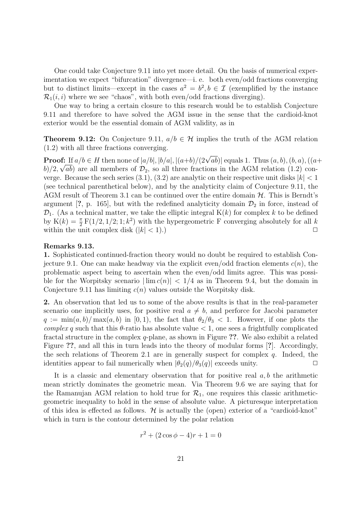One could take Conjecture 9.11 into yet more detail. On the basis of numerical experimentation we expect "bifurcation" divergence—i. e. both even/odd fractions converging but to distinct limits—except in the cases  $a^2 = b^2, b \in \mathcal{I}$  (exemplified by the instance  $\mathcal{R}_1(i, i)$  where we see "chaos", with both even/odd fractions diverging).

One way to bring a certain closure to this research would be to establish Conjecture 9.11 and therefore to have solved the AGM issue in the sense that the cardioid-knot exterior would be the essential domain of AGM validity, as in

**Theorem 9.12:** On Conjecture 9.11,  $a/b \in \mathcal{H}$  implies the truth of the AGM relation (1.2) with all three fractions converging.

**Proof:** If  $a/b \in H$  then none of  $|a/b|, |b/a|, |(a+b)/(2\sqrt{ab})|$  equals 1. Thus  $(a, b), (b, a), ((a+b))$  $b/2, \sqrt{ab}$  are all members of  $\mathcal{D}_2$ , so all three fractions in the AGM relation (1.2) converge. Because the sech series (3.1), (3.2) are analytic on their respective unit disks  $|k| < 1$ (see technical parenthetical below), and by the analyticity claim of Conjecture 9.11, the AGM result of Theorem 3.1 can be continued over the entire domain  $H$ . This is Berndt's argument [?, p. 165], but with the redefined analyticity domain  $\mathcal{D}_2$  in force, instead of  $\mathcal{D}_1$ . (As a technical matter, we take the elliptic integral  $K(k)$  for complex k to be defined by  $K(k) = \frac{\pi}{2} F(1/2, 1/2; 1; k^2)$  with the hypergeometric F converging absolutely for all k within the unit complex disk  $(|k| < 1)$ .)

#### Remarks 9.13.

1. Sophisticated continued-fraction theory would no doubt be required to establish Conjecture 9.1. One can make headway via the explicit even/odd fraction elements  $c(n)$ , the problematic aspect being to ascertain when the even/odd limits agree. This was possible for the Worpitsky scenario  $|\lim_{n \to \infty} c(n)| < 1/4$  as in Theorem 9.4, but the domain in Conjecture 9.11 has limiting  $c(n)$  values outside the Worpitsky disk.

2. An observation that led us to some of the above results is that in the real-parameter scenario one implicitly uses, for positive real  $a \neq b$ , and perforce for Jacobi parameter  $q := \min(a, b) / \max(a, b)$  in [0, 1], the fact that  $\theta_2/\theta_3 < 1$ . However, if one plots the complex q such that this  $\theta$ -ratio has absolute value  $\lt 1$ , one sees a frightfully complicated fractal structure in the complex q-plane, as shown in Figure ??. We also exhibit a related Figure ??, and all this in turn leads into the theory of modular forms [?]. Accordingly, the sech relations of Theorem 2.1 are in generally suspect for complex  $q$ . Indeed, the identities appear to fail numerically when  $|\theta_2(q)/\theta_3(q)|$  exceeds unity.  $\Box$ 

It is a classic and elementary observation that for positive real  $a, b$  the arithmetic mean strictly dominates the geometric mean. Via Theorem 9.6 we are saying that for the Ramanujan AGM relation to hold true for  $\mathcal{R}_1$ , one requires this classic arithmeticgeometric inequality to hold in the sense of absolute value. A picturesque interpretation of this idea is effected as follows.  $\mathcal H$  is actually the (open) exterior of a "cardioid-knot" which in turn is the contour determined by the polar relation

$$
r^2 + (2\cos\phi - 4)r + 1 = 0
$$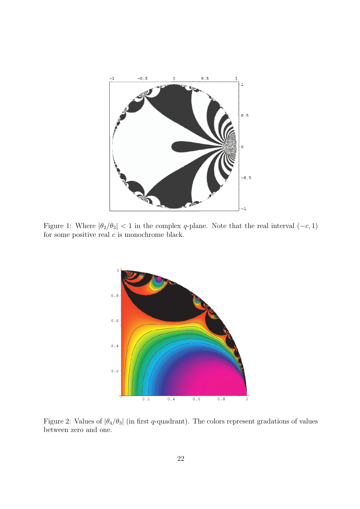

Figure 1: Where  $|\theta_2/\theta_3|$  < 1 in the complex q-plane. Note that the real interval  $(-c, 1)$ for some positive real  $c$  is monochrome black.



Figure 2: Values of  $|\theta_4/\theta_3|$  (in first q-quadrant). The colors represent gradations of values between zero and one.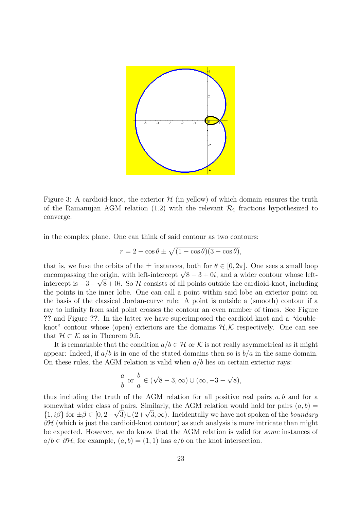

Figure 3: A cardioid-knot, the exterior  $\mathcal{H}$  (in yellow) of which domain ensures the truth of the Ramanujan AGM relation (1.2) with the relevant  $\mathcal{R}_1$  fractions hypothesized to converge.

in the complex plane. One can think of said contour as two contours:

$$
r = 2 - \cos \theta \pm \sqrt{(1 - \cos \theta)(3 - \cos \theta)},
$$

that is, we fuse the orbits of the  $\pm$  instances, both for  $\theta \in [0, 2\pi]$ . One sees a small loop that is, we fuse the orbits of the  $\pm$  instances, both for  $\theta \in [0, 2\pi]$ . One sees a small loop encompassing the origin, with left-intercept  $\sqrt{8}-3+0i$ , and a wider contour whose leftintercept is  $-3 - \sqrt{8} + 0i$ . So H consists of all points outside the cardioid-knot, including the points in the inner lobe. One can call a point within said lobe an exterior point on the basis of the classical Jordan-curve rule: A point is outside a (smooth) contour if a ray to infinity from said point crosses the contour an even number of times. See Figure ?? and Figure ??. In the latter we have superimposed the cardioid-knot and a "doubleknot" contour whose (open) exteriors are the domains  $H, K$  respectively. One can see that  $\mathcal{H} \subset \mathcal{K}$  as in Theorem 9.5.

It is remarkable that the condition  $a/b \in \mathcal{H}$  or K is not really asymmetrical as it might appear: Indeed, if  $a/b$  is in one of the stated domains then so is  $b/a$  in the same domain. On these rules, the AGM relation is valid when  $a/b$  lies on certain exterior rays:

$$
\frac{a}{b} \text{ or } \frac{b}{a} \in (\sqrt{8} - 3, \infty) \cup (\infty, -3 - \sqrt{8}),
$$

thus including the truth of the AGM relation for all positive real pairs  $a, b$  and for a somewhat wider class of pairs. Similarly, the AGM relation would hold for pairs  $(a, b)$  = somewhat wider class of pairs. Similarly, the AGNI relation would not for pairs  $(a, b) =$ <br> $\{1, i\beta\}$  for  $\pm \beta \in [0, 2-\sqrt{3}] \cup (2+\sqrt{3}, \infty)$ . Incidentally we have not spoken of the *boundary*  $\partial H$  (which is just the cardioid-knot contour) as such analysis is more intricate than might be expected. However, we do know that the AGM relation is valid for some instances of  $a/b \in \partial \mathcal{H}$ ; for example,  $(a, b) = (1, 1)$  has  $a/b$  on the knot intersection.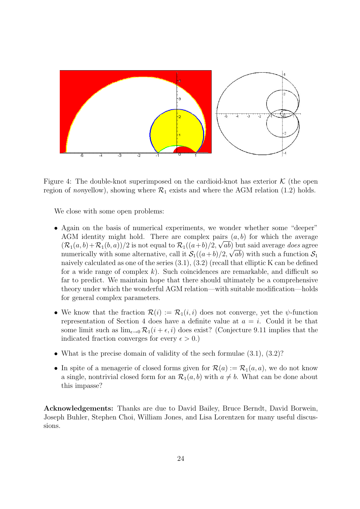

Figure 4: The double-knot superimposed on the cardioid-knot has exterior  $K$  (the open region of nonyellow), showing where  $\mathcal{R}_1$  exists and where the AGM relation (1.2) holds.

We close with some open problems:

- Again on the basis of numerical experiments, we wonder whether some "deeper" AGM identity might hold. There are complex pairs  $(a, b)$  for which the average  $(\mathcal{R}_1(a,b)+\mathcal{R}_1(b,a))/2$  is not equal to  $\mathcal{R}_1((a+b)/2, \sqrt{ab})$  but said average *does* agree numerically with some alternative, call it  $\mathcal{S}_1((a+b)/2, \sqrt{ab})$  with such a function  $\mathcal{S}_1$ naively calculated as one of the series  $(3.1), (3.2)$  (recall that elliptic K can be defined for a wide range of complex  $k$ ). Such coincidences are remarkable, and difficult so far to predict. We maintain hope that there should ultimately be a comprehensive theory under which the wonderful AGM relation—with suitable modification—holds for general complex parameters.
- We know that the fraction  $\mathcal{R}(i) := \mathcal{R}_1(i, i)$  does not converge, yet the  $\psi$ -function representation of Section 4 does have a definite value at  $a = i$ . Could it be that some limit such as  $\lim_{\epsilon \to 0} \mathcal{R}_1(i + \epsilon, i)$  does exist? (Conjecture 9.11 implies that the indicated fraction converges for every  $\epsilon > 0$ .)
- What is the precise domain of validity of the sech formulae  $(3.1)$ ,  $(3.2)$ ?
- In spite of a menagerie of closed forms given for  $\mathcal{R}(a) := \mathcal{R}_1(a, a)$ , we do not know a single, nontrivial closed form for an  $\mathcal{R}_1(a, b)$  with  $a \neq b$ . What can be done about this impasse?

Acknowledgements: Thanks are due to David Bailey, Bruce Berndt, David Borwein, Joseph Buhler, Stephen Choi, William Jones, and Lisa Lorentzen for many useful discussions.